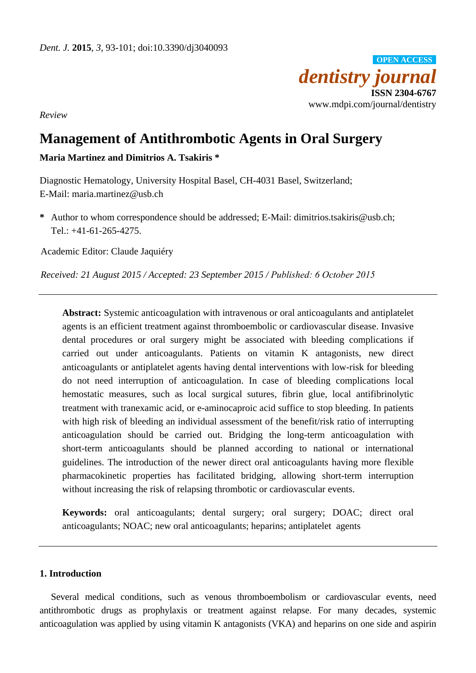

*Review*

# **Management of Antithrombotic Agents in Oral Surgery**

**Maria Martinez and Dimitrios A. Tsakiris \***

Diagnostic Hematology, University Hospital Basel, CH-4031 Basel, Switzerland; E-Mail: [maria.martinez@usb.ch](mailto:maria.martinez@usb.ch) 

**\*** Author to whom correspondence should be addressed; E-Mail: [dimitrios.tsakiris@usb.ch;](mailto:dimitrios.tsakiris@usb.ch) Tel.: +41-61-265-4275.

Academic Editor: Claude Jaquiéry

*Received: 21 August 2015 / Accepted: 23 September 2015 / Published: 6 October 2015*

**Abstract:** Systemic anticoagulation with intravenous or oral anticoagulants and antiplatelet agents is an efficient treatment against thromboembolic or cardiovascular disease. Invasive dental procedures or oral surgery might be associated with bleeding complications if carried out under anticoagulants. Patients on vitamin K antagonists, new direct anticoagulants or antiplatelet agents having dental interventions with low-risk for bleeding do not need interruption of anticoagulation. In case of bleeding complications local hemostatic measures, such as local surgical sutures, fibrin glue, local antifibrinolytic treatment with tranexamic acid, or e-aminocaproic acid suffice to stop bleeding. In patients with high risk of bleeding an individual assessment of the benefit/risk ratio of interrupting anticoagulation should be carried out. Bridging the long-term anticoagulation with short-term anticoagulants should be planned according to national or international guidelines. The introduction of the newer direct oral anticoagulants having more flexible pharmacokinetic properties has facilitated bridging, allowing short-term interruption without increasing the risk of relapsing thrombotic or cardiovascular events.

**Keywords:** oral anticoagulants; dental surgery; oral surgery; DOAC; direct oral anticoagulants; NOAC; new oral anticoagulants; heparins; antiplatelet agents

# **1. Introduction**

Several medical conditions, such as venous thromboembolism or cardiovascular events, need antithrombotic drugs as prophylaxis or treatment against relapse. For many decades, systemic anticoagulation was applied by using vitamin K antagonists (VKA) and heparins on one side and aspirin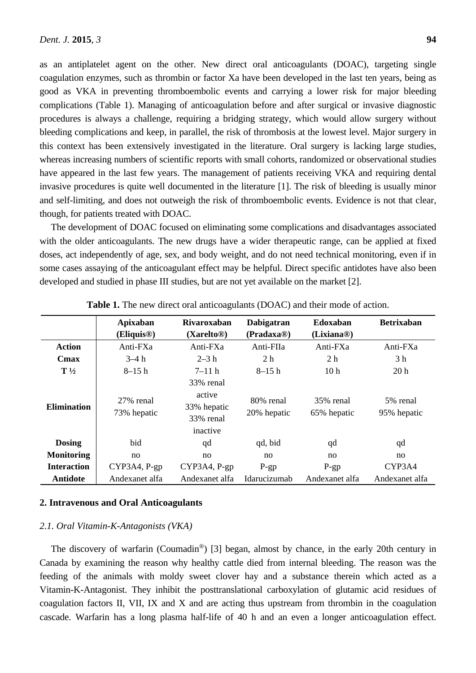as an antiplatelet agent on the other. New direct oral anticoagulants (DOAC), targeting single coagulation enzymes, such as thrombin or factor Xa have been developed in the last ten years, being as good as VKA in preventing thromboembolic events and carrying a lower risk for major bleeding complications (Table 1). Managing of anticoagulation before and after surgical or invasive diagnostic procedures is always a challenge, requiring a bridging strategy, which would allow surgery without bleeding complications and keep, in parallel, the risk of thrombosis at the lowest level. Major surgery in this context has been extensively investigated in the literature. Oral surgery is lacking large studies, whereas increasing numbers of scientific reports with small cohorts, randomized or observational studies have appeared in the last few years. The management of patients receiving VKA and requiring dental invasive procedures is quite well documented in the literature [1]. The risk of bleeding is usually minor and self-limiting, and does not outweigh the risk of thromboembolic events. Evidence is not that clear, though, for patients treated with DOAC.

The development of DOAC focused on eliminating some complications and disadvantages associated with the older anticoagulants. The new drugs have a wider therapeutic range, can be applied at fixed doses, act independently of age, sex, and body weight, and do not need technical monitoring, even if in some cases assaying of the anticoagulant effect may be helpful. Direct specific antidotes have also been developed and studied in phase III studies, but are not yet available on the market [2].

|                    | Apixaban<br>(Eliquis <sup>®)</sup> | <b>Rivaroxaban</b><br>(Xarelto <sup>®)</sup>                | <b>Dabigatran</b><br>(Pradaxa <sup>®</sup> ) | Edoxaban<br>(Lixiana <sup>®</sup> ) | <b>Betrixaban</b>       |
|--------------------|------------------------------------|-------------------------------------------------------------|----------------------------------------------|-------------------------------------|-------------------------|
| <b>Action</b>      | Anti-FXa                           | Anti-FXa                                                    | Anti-FIIa                                    | Anti-FXa                            | Anti-FXa                |
| Cmax               | $3-4 h$                            | $2 - 3 h$                                                   | 2 <sub>h</sub>                               | 2 <sub>h</sub>                      | 3 h                     |
| $T\frac{1}{2}$     | $8-15h$                            | $7 - 11h$                                                   | $8-15h$                                      | 10 <sub>h</sub>                     | 20h                     |
| <b>Elimination</b> | 27% renal<br>73% hepatic           | 33% renal<br>active<br>33% hepatic<br>33% renal<br>inactive | 80% renal<br>20% hepatic                     | 35% renal<br>65% hepatic            | 5% renal<br>95% hepatic |
| <b>Dosing</b>      | bid                                | qd                                                          | qd, bid                                      | qd                                  | qd                      |
| <b>Monitoring</b>  | no                                 | no                                                          | no                                           | no                                  | no                      |
| <b>Interaction</b> | CYP3A4, P-gp                       | CYP3A4, P-gp                                                | $P-gp$                                       | $P-gp$                              | CYP3A4                  |
| <b>Antidote</b>    | Andexanet alfa                     | Andexanet alfa                                              | Idarucizumab                                 | Andexanet alfa                      | Andexanet alfa          |

**Table 1.** The new direct oral anticoagulants (DOAC) and their mode of action.

#### **2. Intravenous and Oral Anticoagulants**

#### *2.1. Oral Vitamin-K-Antagonists (VKA)*

The discovery of warfarin (Coumadin®) [3] began, almost by chance, in the early 20th century in Canada by examining the reason why healthy cattle died from internal bleeding. The reason was the feeding of the animals with moldy sweet clover hay and a substance therein which acted as a Vitamin-K-Antagonist. They inhibit the posttranslational carboxylation of glutamic acid residues of coagulation factors II, VII, IX and X and are acting thus upstream from thrombin in the coagulation cascade. Warfarin has a long plasma half-life of 40 h and an even a longer anticoagulation effect.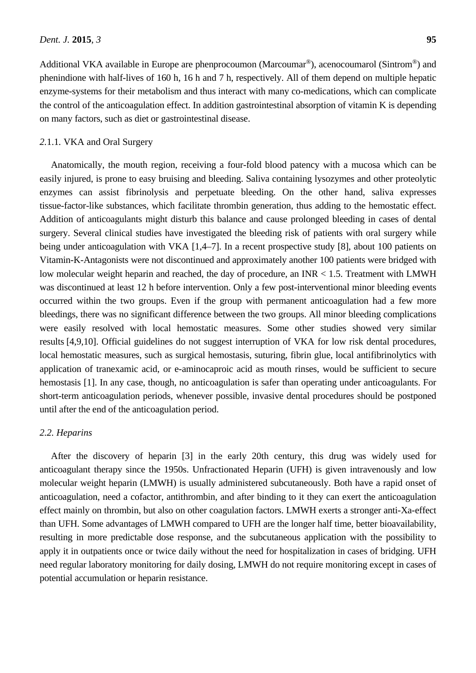Additional VKA available in Europe are phenprocoumon (Marcoumar®), acenocoumarol (Sintrom®) and phenindione with half-lives of 160 h, 16 h and 7 h, respectively. All of them depend on multiple hepatic enzyme-systems for their metabolism and thus interact with many co-medications, which can complicate the control of the anticoagulation effect. In addition gastrointestinal absorption of vitamin K is depending on many factors, such as diet or gastrointestinal disease.

## *2.*1.1*.* VKA and Oral Surgery

Anatomically, the mouth region, receiving a four-fold blood patency with a mucosa which can be easily injured, is prone to easy bruising and bleeding. Saliva containing lysozymes and other proteolytic enzymes can assist fibrinolysis and perpetuate bleeding. On the other hand, saliva expresses tissue-factor-like substances, which facilitate thrombin generation, thus adding to the hemostatic effect. Addition of anticoagulants might disturb this balance and cause prolonged bleeding in cases of dental surgery. Several clinical studies have investigated the bleeding risk of patients with oral surgery while being under anticoagulation with VKA [1,4–7]. In a recent prospective study [8], about 100 patients on Vitamin-K-Antagonists were not discontinued and approximately another 100 patients were bridged with low molecular weight heparin and reached, the day of procedure, an INR < 1.5. Treatment with LMWH was discontinued at least 12 h before intervention. Only a few post-interventional minor bleeding events occurred within the two groups. Even if the group with permanent anticoagulation had a few more bleedings, there was no significant difference between the two groups. All minor bleeding complications were easily resolved with local hemostatic measures. Some other studies showed very similar results [4,9,10]. Official guidelines do not suggest interruption of VKA for low risk dental procedures, local hemostatic measures, such as surgical hemostasis, suturing, fibrin glue, local antifibrinolytics with application of tranexamic acid, or e-aminocaproic acid as mouth rinses, would be sufficient to secure hemostasis [1]. In any case, though, no anticoagulation is safer than operating under anticoagulants. For short-term anticoagulation periods, whenever possible, invasive dental procedures should be postponed until after the end of the anticoagulation period.

#### *2.2. Heparins*

After the discovery of heparin [3] in the early 20th century, this drug was widely used for anticoagulant therapy since the 1950s. Unfractionated Heparin (UFH) is given intravenously and low molecular weight heparin (LMWH) is usually administered subcutaneously. Both have a rapid onset of anticoagulation, need a cofactor, antithrombin, and after binding to it they can exert the anticoagulation effect mainly on thrombin, but also on other coagulation factors. LMWH exerts a stronger anti-Xa-effect than UFH. Some advantages of LMWH compared to UFH are the longer half time, better bioavailability, resulting in more predictable dose response, and the subcutaneous application with the possibility to apply it in outpatients once or twice daily without the need for hospitalization in cases of bridging. UFH need regular laboratory monitoring for daily dosing, LMWH do not require monitoring except in cases of potential accumulation or heparin resistance.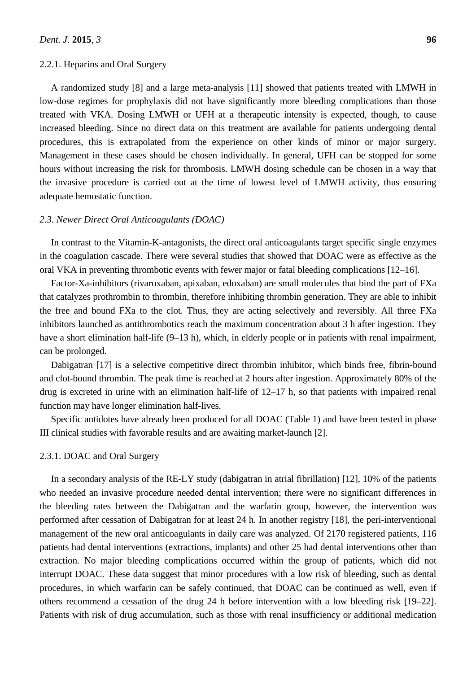#### 2.2.1. Heparins and Oral Surgery

A randomized study [8] and a large meta-analysis [11] showed that patients treated with LMWH in low-dose regimes for prophylaxis did not have significantly more bleeding complications than those treated with VKA. Dosing LMWH or UFH at a therapeutic intensity is expected, though, to cause increased bleeding. Since no direct data on this treatment are available for patients undergoing dental procedures, this is extrapolated from the experience on other kinds of minor or major surgery. Management in these cases should be chosen individually. In general, UFH can be stopped for some hours without increasing the risk for thrombosis. LMWH dosing schedule can be chosen in a way that the invasive procedure is carried out at the time of lowest level of LMWH activity, thus ensuring adequate hemostatic function.

#### *2.3. Newer Direct Oral Anticoagulants (DOAC)*

In contrast to the Vitamin-K-antagonists, the direct oral anticoagulants target specific single enzymes in the coagulation cascade. There were several studies that showed that DOAC were as effective as the oral VKA in preventing thrombotic events with fewer major or fatal bleeding complications [12–16].

Factor-Xa-inhibitors (rivaroxaban, apixaban, edoxaban) are small molecules that bind the part of FXa that catalyzes prothrombin to thrombin, therefore inhibiting thrombin generation. They are able to inhibit the free and bound FXa to the clot. Thus, they are acting selectively and reversibly. All three FXa inhibitors launched as antithrombotics reach the maximum concentration about 3 h after ingestion. They have a short elimination half-life (9–13 h), which, in elderly people or in patients with renal impairment, can be prolonged.

Dabigatran [17] is a selective competitive direct thrombin inhibitor, which binds free, fibrin-bound and clot-bound thrombin. The peak time is reached at 2 hours after ingestion. Approximately 80% of the drug is excreted in urine with an elimination half-life of 12–17 h, so that patients with impaired renal function may have longer elimination half-lives.

Specific antidotes have already been produced for all DOAC (Table 1) and have been tested in phase III clinical studies with favorable results and are awaiting market-launch [2].

#### 2.3.1. DOAC and Oral Surgery

In a secondary analysis of the RE-LY study (dabigatran in atrial fibrillation) [12], 10% of the patients who needed an invasive procedure needed dental intervention; there were no significant differences in the bleeding rates between the Dabigatran and the warfarin group, however, the intervention was performed after cessation of Dabigatran for at least 24 h. In another registry [18], the peri-interventional management of the new oral anticoagulants in daily care was analyzed. Of 2170 registered patients, 116 patients had dental interventions (extractions, implants) and other 25 had dental interventions other than extraction. No major bleeding complications occurred within the group of patients, which did not interrupt DOAC. These data suggest that minor procedures with a low risk of bleeding, such as dental procedures, in which warfarin can be safely continued, that DOAC can be continued as well, even if others recommend a cessation of the drug 24 h before intervention with a low bleeding risk [19–22]. Patients with risk of drug accumulation, such as those with renal insufficiency or additional medication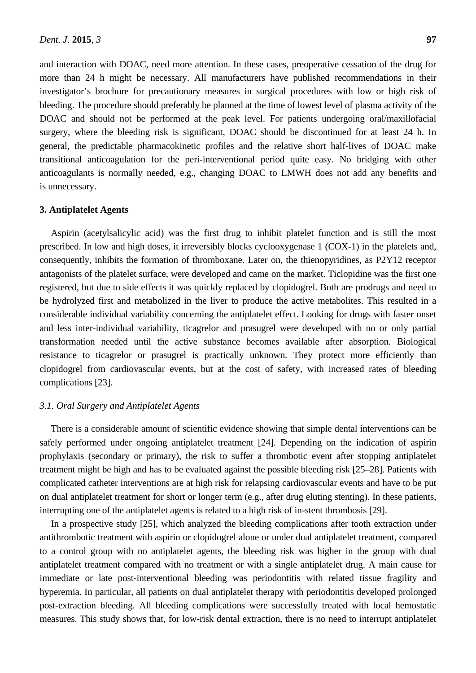and interaction with DOAC, need more attention. In these cases, preoperative cessation of the drug for more than 24 h might be necessary. All manufacturers have published recommendations in their investigator's brochure for precautionary measures in surgical procedures with low or high risk of bleeding. The procedure should preferably be planned at the time of lowest level of plasma activity of the DOAC and should not be performed at the peak level. For patients undergoing oral/maxillofacial surgery, where the bleeding risk is significant, DOAC should be discontinued for at least 24 h. In general, the predictable pharmacokinetic profiles and the relative short half-lives of DOAC make transitional anticoagulation for the peri-interventional period quite easy. No bridging with other anticoagulants is normally needed, e.g., changing DOAC to LMWH does not add any benefits and is unnecessary.

#### **3. Antiplatelet Agents**

Aspirin (acetylsalicylic acid) was the first drug to inhibit platelet function and is still the most prescribed. In low and high doses, it irreversibly blocks cyclooxygenase 1 (COX-1) in the platelets and, consequently, inhibits the formation of thromboxane. Later on, the thienopyridines, as P2Y12 receptor antagonists of the platelet surface, were developed and came on the market. Ticlopidine was the first one registered, but due to side effects it was quickly replaced by clopidogrel. Both are prodrugs and need to be hydrolyzed first and metabolized in the liver to produce the active metabolites. This resulted in a considerable individual variability concerning the antiplatelet effect. Looking for drugs with faster onset and less inter-individual variability, ticagrelor and prasugrel were developed with no or only partial transformation needed until the active substance becomes available after absorption. Biological resistance to ticagrelor or prasugrel is practically unknown. They protect more efficiently than clopidogrel from cardiovascular events, but at the cost of safety, with increased rates of bleeding complications [23].

#### *3.1. Oral Surgery and Antiplatelet Agents*

There is a considerable amount of scientific evidence showing that simple dental interventions can be safely performed under ongoing antiplatelet treatment [24]. Depending on the indication of aspirin prophylaxis (secondary or primary), the risk to suffer a thrombotic event after stopping antiplatelet treatment might be high and has to be evaluated against the possible bleeding risk [25–28]. Patients with complicated catheter interventions are at high risk for relapsing cardiovascular events and have to be put on dual antiplatelet treatment for short or longer term (e.g., after drug eluting stenting). In these patients, interrupting one of the antiplatelet agents is related to a high risk of in-stent thrombosis [29].

In a prospective study [25], which analyzed the bleeding complications after tooth extraction under antithrombotic treatment with aspirin or clopidogrel alone or under dual antiplatelet treatment, compared to a control group with no antiplatelet agents, the bleeding risk was higher in the group with dual antiplatelet treatment compared with no treatment or with a single antiplatelet drug. A main cause for immediate or late post-interventional bleeding was periodontitis with related tissue fragility and hyperemia. In particular, all patients on dual antiplatelet therapy with periodontitis developed prolonged post-extraction bleeding. All bleeding complications were successfully treated with local hemostatic measures. This study shows that, for low-risk dental extraction, there is no need to interrupt antiplatelet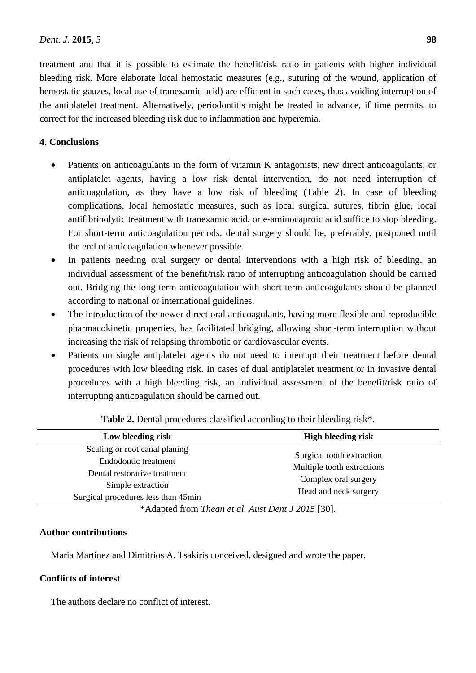treatment and that it is possible to estimate the benefit/risk ratio in patients with higher individual bleeding risk. More elaborate local hemostatic measures (e.g., suturing of the wound, application of hemostatic gauzes, local use of tranexamic acid) are efficient in such cases, thus avoiding interruption of the antiplatelet treatment. Alternatively, periodontitis might be treated in advance, if time permits, to correct for the increased bleeding risk due to inflammation and hyperemia.

# **4. Conclusions**

- Patients on anticoagulants in the form of vitamin K antagonists, new direct anticoagulants, or antiplatelet agents, having a low risk dental intervention, do not need interruption of anticoagulation, as they have a low risk of bleeding (Table 2). In case of bleeding complications, local hemostatic measures, such as local surgical sutures, fibrin glue, local antifibrinolytic treatment with tranexamic acid, or e-aminocaproic acid suffice to stop bleeding. For short-term anticoagulation periods, dental surgery should be, preferably, postponed until the end of anticoagulation whenever possible.
- In patients needing oral surgery or dental interventions with a high risk of bleeding, an individual assessment of the benefit/risk ratio of interrupting anticoagulation should be carried out. Bridging the long-term anticoagulation with short-term anticoagulants should be planned according to national or international guidelines.
- The introduction of the newer direct oral anticoagulants, having more flexible and reproducible pharmacokinetic properties, has facilitated bridging, allowing short-term interruption without increasing the risk of relapsing thrombotic or cardiovascular events.
- Patients on single antiplatelet agents do not need to interrupt their treatment before dental procedures with low bleeding risk. In cases of dual antiplatelet treatment or in invasive dental procedures with a high bleeding risk, an individual assessment of the benefit/risk ratio of interrupting anticoagulation should be carried out.

| Low bleeding risk                                                                                          | <b>High bleeding risk</b>                                                                                |  |
|------------------------------------------------------------------------------------------------------------|----------------------------------------------------------------------------------------------------------|--|
| Scaling or root canal planing<br>Endodontic treatment<br>Dental restorative treatment<br>Simple extraction | Surgical tooth extraction<br>Multiple tooth extractions<br>Complex oral surgery<br>Head and neck surgery |  |
| Surgical procedures less than 45min                                                                        |                                                                                                          |  |

**Table 2.** Dental procedures classified according to their bleeding risk\*.

\*Adapted from *Thean et al. Aust Dent J 2015* [30].

# **Author contributions**

Maria Martinez and Dimitrios A. Tsakiris conceived, designed and wrote the paper.

# **Conflicts of interest**

The authors declare no conflict of interest.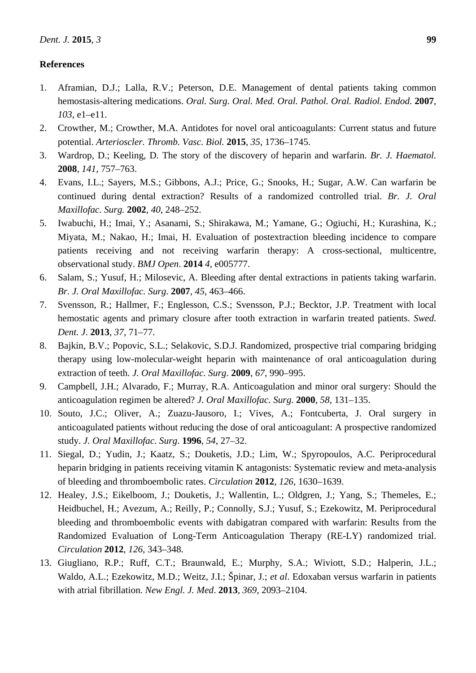## **References**

- 1. Aframian, D.J.; Lalla, R.V.; Peterson, D.E. Management of dental patients taking common hemostasis-altering medications. *Oral. Surg. Oral. Med. Oral. Pathol. Oral. Radiol. Endod.* **2007**, *103*, e1–e11.
- 2. Crowther, M.; Crowther, M.A. Antidotes for novel oral anticoagulants: Current status and future potential. *Arterioscler. Thromb. Vasc. Biol.* **2015**, *35*, 1736–1745.
- 3. Wardrop, D.; Keeling, D. The story of the discovery of heparin and warfarin. *Br. J. Haematol.*  **2008**, *141*, 757–763.
- 4. Evans, I.L.; Sayers, M.S.; Gibbons, A.J.; Price, G.; Snooks, H.; Sugar, A.W. Can warfarin be continued during dental extraction? Results of a randomized controlled trial. *Br. J. Oral Maxillofac. Surg.* **2002**, *40*, 248–252.
- 5. Iwabuchi, H.; Imai, Y.; Asanami, S.; [Shirakawa,](http://bmjopen.bmj.com/search?author1=Masayori+Shirakawa&sortspec=date&submit=Submit) M.; [Yamane,](http://bmjopen.bmj.com/search?author1=Gen-yuki+Yamane&sortspec=date&submit=Submit) G.; [Ogiuchi,](http://bmjopen.bmj.com/search?author1=Hideki+Ogiuchi&sortspec=date&submit=Submit) H.; [Kurashina,](http://bmjopen.bmj.com/search?author1=Kenji+Kurashina&sortspec=date&submit=Submit) K.; [Miyata,](http://bmjopen.bmj.com/search?author1=Masaru+Miyata&sortspec=date&submit=Submit) M.; [Nakao,](http://bmjopen.bmj.com/search?author1=Hiroyuki+Nakao&sortspec=date&submit=Submit) H.; [Imai,](http://bmjopen.bmj.com/search?author1=Hirohisa+Imai&sortspec=date&submit=Submit) H. Evaluation of postextraction bleeding incidence to compare patients receiving and not receiving warfarin therapy: A cross-sectional, multicentre, observational study. *BMJ Open*. **2014** *4*, e005777.
- 6. Salam, S.; Yusuf, H.; Milosevic, A. Bleeding after dental extractions in patients taking warfarin. *Br. J. Oral Maxillofac. Surg*. **2007**, *45*, 463–466.
- 7. Svensson, R.; Hallmer, F.; Englesson, C.S.; Svensson, P.J.; Becktor, J.P. Treatment with local hemostatic agents and primary closure after tooth extraction in warfarin treated patients. *Swed. Dent. J*. **2013**, *37*, 71–77.
- 8. Bajkin, B.V.; Popovic, S.L.; Selakovic, S.D.J. Randomized, prospective trial comparing bridging therapy using low-molecular-weight heparin with maintenance of oral anticoagulation during extraction of teeth. *J. Oral Maxillofac. Surg*. **2009**, *67*, 990–995.
- 9. Campbell, J.H.; Alvarado, F.; Murray, R.A. Anticoagulation and minor oral surgery: Should the anticoagulation regimen be altered? *J. Oral Maxillofac. Surg*. **2000**, *58*, 131–135.
- 10. Souto, J.C.; Oliver, A.; Zuazu-Jausoro, I.; Vives, A.; Fontcuberta, J. Oral surgery in anticoagulated patients without reducing the dose of oral anticoagulant: A prospective randomized study. *J. Oral Maxillofac. Surg*. **1996**, *54*, 27–32.
- 11. Siegal, D.; Yudin, J.; Kaatz, S.; Douketis, J.D.; Lim, W.; Spyropoulos, A.C. Periprocedural heparin bridging in patients receiving vitamin K antagonists: Systematic review and meta-analysis of bleeding and thromboembolic rates. *Circulation* **2012**, *126*, 1630–1639.
- 12. Healey, J.S.; Eikelboom, J.; Douketis, J.; [Wallentin,](http://www.ncbi.nlm.nih.gov/pubmed/?term=Wallentin%20L%5BAuthor%5D&cauthor=true&cauthor_uid=22700854) L.; [Oldgren, J.](http://www.ncbi.nlm.nih.gov/pubmed/?term=Oldgren%20J%5BAuthor%5D&cauthor=true&cauthor_uid=22700854); [Yang, S.](http://www.ncbi.nlm.nih.gov/pubmed/?term=Yang%20S%5BAuthor%5D&cauthor=true&cauthor_uid=22700854); [Themeles, E.](http://www.ncbi.nlm.nih.gov/pubmed/?term=Themeles%20E%5BAuthor%5D&cauthor=true&cauthor_uid=22700854); [Heidbuchel, H.](http://www.ncbi.nlm.nih.gov/pubmed/?term=Heidbuchel%20H%5BAuthor%5D&cauthor=true&cauthor_uid=22700854); [Avezum, A.](http://www.ncbi.nlm.nih.gov/pubmed/?term=Avezum%20A%5BAuthor%5D&cauthor=true&cauthor_uid=22700854); [Reilly, P.](http://www.ncbi.nlm.nih.gov/pubmed/?term=Reilly%20P%5BAuthor%5D&cauthor=true&cauthor_uid=22700854); [Connolly, S.J.](http://www.ncbi.nlm.nih.gov/pubmed/?term=Connolly%20SJ%5BAuthor%5D&cauthor=true&cauthor_uid=22700854); [Yusuf, S.](http://www.ncbi.nlm.nih.gov/pubmed/?term=Yusuf%20S%5BAuthor%5D&cauthor=true&cauthor_uid=22700854); [Ezekowitz,](http://www.ncbi.nlm.nih.gov/pubmed/?term=Ezekowitz%20M%5BAuthor%5D&cauthor=true&cauthor_uid=22700854) M. Periprocedural bleeding and thromboembolic events with dabigatran compared with warfarin: Results from the Randomized Evaluation of Long-Term Anticoagulation Therapy (RE-LY) randomized trial. *Circulation* **2012**, *126*, 343–348.
- 13. Giugliano, R.P.; Ruff, C.T.; Braunwald, E.; Murphy, S.A.; Wiviott, S.D.; Halperin, J.L.; Waldo, A.L.; Ezekowitz, M.D.; Weitz, J.I.; Špinar, J.; *et al*. Edoxaban versus warfarin in patients with atrial fibrillation. *New Engl. J. Med*. **2013**, *369*, 2093–2104.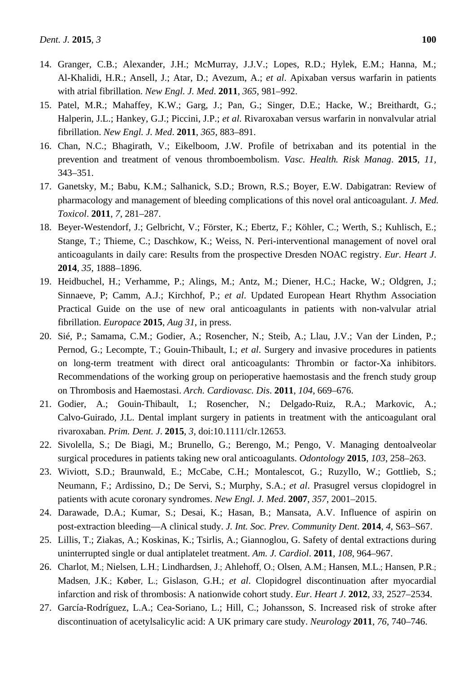- 14. Granger, C.B.; Alexander, J.H.; McMurray, J.J.V.; Lopes, R.D.; Hylek, E.M.; Hanna, M.; Al-Khalidi, H.R.; Ansell, J.; Atar, D.; Avezum, A.; *et al*. Apixaban versus warfarin in patients with atrial fibrillation. *New Engl. J. Med*. **2011**, *365*, 981–992.
- 15. Patel, M.R.; Mahaffey, K.W.; Garg, J.; Pan, G.; Singer, D.E.; Hacke, W.; Breithardt, G.; Halperin, J.L.; Hankey, G.J.; Piccini, J.P.; *et al*. Rivaroxaban versus warfarin in nonvalvular atrial fibrillation. *New Engl. J. Med*. **2011**, *365*, 883–891.
- 16. Chan, N.C.; Bhagirath, V.; Eikelboom, J.W. Profile of betrixaban and its potential in the prevention and treatment of venous thromboembolism. *Vasc. Health. Risk Manag*. **2015**, *11*, 343–351.
- 17. Ganetsky, M.; Babu, K.M.; Salhanick, S.D.; Brown, R.S.; Boyer, E.W. Dabigatran: Review of pharmacology and management of bleeding complications of this novel oral anticoagulant. *J. Med. Toxicol*. **2011**, *7*, 281–287.
- 18. Beyer-Westendorf, J.; Gelbricht, V.; Förster, K.; Ebertz, F.; Köhler, C.; Werth, S.; Kuhlisch, E.; Stange, T.; Thieme, C.; Daschkow, K.; Weiss, N. Peri-interventional management of novel oral anticoagulants in daily care: Results from the prospective Dresden NOAC registry. *Eur. Heart J*. **2014**, *35*, 1888–1896.
- 19. Heidbuchel, H.; Verhamme, P.; Alings, M.; Antz, M.; Diener, H.C.; Hacke, W.; Oldgren, J.; Sinnaeve, P; Camm, A.J.; Kirchhof, P.; *et al*. Updated European Heart Rhythm Association Practical Guide on the use of new oral anticoagulants in patients with non-valvular atrial fibrillation. *Europace* **2015**, *Aug 31*, in press.
- 20. Sié, P.; Samama, C.M.; Godier, A.; Rosencher, N.; Steib, A.; Llau, J.V.; Van der Linden, P.; Pernod, G.; Lecompte, T.; Gouin-Thibault, I.; *et al*. Surgery and invasive procedures in patients on long-term treatment with direct oral anticoagulants: Thrombin or factor-Xa inhibitors. Recommendations of the working group on perioperative haemostasis and the french study group on Thrombosis and Haemostasi. *Arch. Cardiovasc. Dis*. **2011**, *104*, 669–676.
- 21. Godier, A.; Gouin-Thibault, I.; Rosencher, N.; [Delgado-Ruiz, R.A.](http://www.ncbi.nlm.nih.gov/pubmed/?term=Delgado-Ruiz%20RA%5BAuthor%5D&cauthor=true&cauthor_uid=26073481); [Markovic, A.](http://www.ncbi.nlm.nih.gov/pubmed/?term=Markovic%20A%5BAuthor%5D&cauthor=true&cauthor_uid=26073481); [Calvo-Guirado, J.L.](http://www.ncbi.nlm.nih.gov/pubmed/?term=Calvo-Guirado%20JL%5BAuthor%5D&cauthor=true&cauthor_uid=26073481) Dental implant surgery in patients in treatment with the anticoagulant oral rivaroxaban. *Prim. Dent. J*. **2015**, *3*, doi:10.1111/clr.12653.
- 22. Sivolella, S.; De Biagi, M.; Brunello, G.; Berengo, M.; Pengo, V. Managing dentoalveolar surgical procedures in patients taking new oral anticoagulants. *Odontology* **2015**, *103*, 258–263.
- 23. Wiviott, S.D.; Braunwald, E.; McCabe, C.H.; Montalescot, G.; Ruzyllo, W.; Gottlieb, S.; Neumann, F.; Ardissino, D.; De Servi, S.; Murphy, S.A.; *et al*. Prasugrel versus clopidogrel in patients with acute coronary syndromes. *New Engl. J. Med*. **2007**, *357*, 2001–2015.
- 24. Darawade, D.A.; Kumar, S.; Desai, K.; Hasan, B.; Mansata, A.V. Influence of aspirin on post-extraction bleeding—A clinical study. *J. Int. Soc. Prev. Community Dent*. **2014**, *4*, S63–S67.
- 25. Lillis, T.; Ziakas, A.; Koskinas, K.; Tsirlis, A.; Giannoglou, G. Safety of dental extractions during uninterrupted single or dual antiplatelet treatment. *Am. J. Cardiol*. **2011**, *108*, 964–967.
- 26. Charlot, M.; Nielsen, L.H.; Lindhardsen, J.; Ahlehoff, O.; Olsen, A.M.; Hansen, M.L.; Hansen, P.R.; Madsen, J.K.; Køber, L.; Gislason, G.H.; *et al*. Clopidogrel discontinuation after myocardial infarction and risk of thrombosis: A nationwide cohort study. *Eur. Heart J*. **2012**, *33*, 2527–2534.
- 27. García-Rodríguez, L.A.; Cea-Soriano, L.; Hill, C.; Johansson, S. Increased risk of stroke after discontinuation of acetylsalicylic acid: A UK primary care study. *Neurology* **2011**, *76*, 740–746.